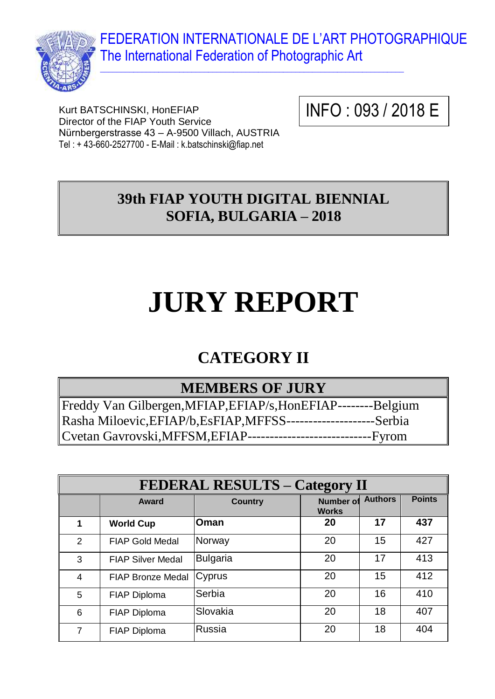FEDERATION INTERNATIONALE DE L'ART PHOTOGRAPHIQUE The International Federation of Photographic Art



Kurt BATSCHINSKI, HonEFIAP Director of the FIAP Youth Service Nürnbergerstrasse 43 – A-9500 Villach, AUSTRIA Tel : + 43-660-2527700 - E-Mail : k.batschinski@fiap.net

INFO : 093 / 2018 E

## **39th FIAP YOUTH DIGITAL BIENNIAL SOFIA, BULGARIA – 2018**

 $\_$  , and the set of the set of the set of the set of the set of the set of the set of the set of the set of the set of the set of the set of the set of the set of the set of the set of the set of the set of the set of th

# **JURY REPORT**

# **CATEGORY II**

#### **MEMBERS OF JURY**

Freddy Van Gilbergen,MFIAP,EFIAP/s,HonEFIAP--------Belgium Rasha Miloevic,EFIAP/b,EsFIAP,MFFSS--------------------Serbia Cvetan Gavrovski,MFFSM,EFIAP----------------------------Fyrom

| <b>FEDERAL RESULTS – Category II</b> |                          |                 |                                  |                |               |
|--------------------------------------|--------------------------|-----------------|----------------------------------|----------------|---------------|
|                                      | Award                    | <b>Country</b>  | <b>Number of</b><br><b>Works</b> | <b>Authors</b> | <b>Points</b> |
| 1                                    | <b>World Cup</b>         | <b>Oman</b>     | 20                               | 17             | 437           |
| 2                                    | <b>FIAP Gold Medal</b>   | Norway          | 20                               | 15             | 427           |
| 3                                    | <b>FIAP Silver Medal</b> | <b>Bulgaria</b> | 20                               | 17             | 413           |
| $\overline{4}$                       | <b>FIAP Bronze Medal</b> | Cyprus          | 20                               | 15             | 412           |
| 5                                    | <b>FIAP Diploma</b>      | Serbia          | 20                               | 16             | 410           |
| 6                                    | <b>FIAP Diploma</b>      | Slovakia        | 20                               | 18             | 407           |
| 7                                    | FIAP Diploma             | Russia          | 20                               | 18             | 404           |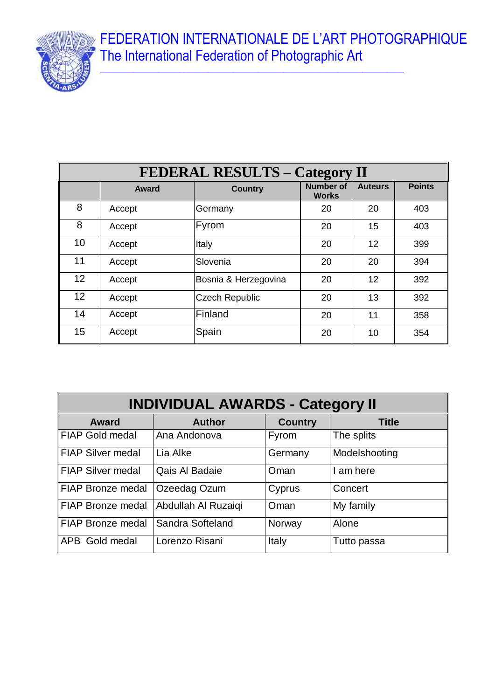FEDERATION INTERNATIONALE DE L'ART PHOTOGRAPHIQUE The International Federation of Photographic Art

 $\_$  , and the set of the set of the set of the set of the set of the set of the set of the set of the set of the set of the set of the set of the set of the set of the set of the set of the set of the set of the set of th



| <b>FEDERAL RESULTS - Category II</b> |              |                       |                                  |                |               |
|--------------------------------------|--------------|-----------------------|----------------------------------|----------------|---------------|
|                                      | <b>Award</b> | <b>Country</b>        | <b>Number of</b><br><b>Works</b> | <b>Auteurs</b> | <b>Points</b> |
| 8                                    | Accept       | Germany               | 20                               | 20             | 403           |
| 8                                    | Accept       | Fyrom                 | 20                               | 15             | 403           |
| 10                                   | Accept       | Italy                 | 20                               | 12             | 399           |
| 11                                   | Accept       | Slovenia              | 20                               | 20             | 394           |
| 12 <sup>2</sup>                      | Accept       | Bosnia & Herzegovina  | 20                               | 12             | 392           |
| 12                                   | Accept       | <b>Czech Republic</b> | 20                               | 13             | 392           |
| 14                                   | Accept       | Finland               | 20                               | 11             | 358           |
| 15                                   | Accept       | Spain                 | 20                               | 10             | 354           |

| <b>INDIVIDUAL AWARDS - Category II</b> |                     |                |               |  |
|----------------------------------------|---------------------|----------------|---------------|--|
| <b>Award</b>                           | <b>Author</b>       | <b>Country</b> | <b>Title</b>  |  |
| <b>FIAP Gold medal</b>                 | Ana Andonova        | <b>Fyrom</b>   | The splits    |  |
| <b>FIAP Silver medal</b>               | Lia Alke            | Germany        | Modelshooting |  |
| <b>FIAP Silver medal</b>               | Qais Al Badaie      | Oman           | I am here     |  |
| <b>FIAP Bronze medal</b>               | Ozeedag Ozum        | Cyprus         | Concert       |  |
| <b>FIAP Bronze medal</b>               | Abdullah Al Ruzaiqi | Oman           | My family     |  |
| FIAP Bronze medal                      | Sandra Softeland    | Norway         | Alone         |  |
| APB Gold medal                         | Lorenzo Risani      | Italy          | Tutto passa   |  |